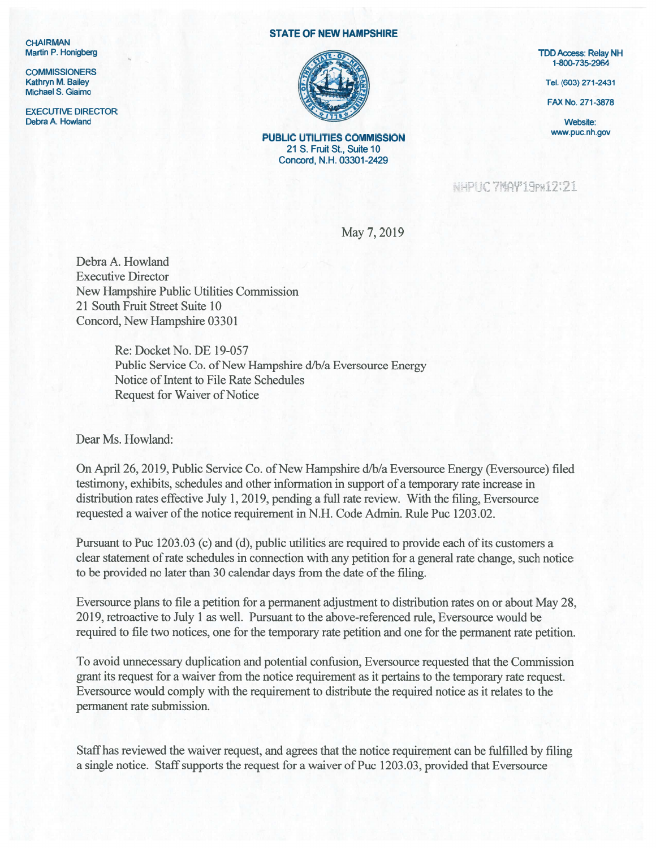**CHAIRMAN** 

**COMMISSIONERS** Michael S. Giaimo

EXECUTIVE DIRECTOR Debra A. Howland Website: New York and Website: New York and Website: New York and Website: New York and Website: New York and Website: New York and Website: New York and Website: New York and Website: New York and Website

## STATE OF NEW HAMPSHIRE



PUBLIC UTILITIES COMMISSION WWW.puc.nh.gov 21 S. Fruit St., Suite 10 Concord, N.H. 03301-2429

1-800-735-2964

FAX No. 271-3878

NHPLIC 7MAY 19PH12121

May 7, 2019

Debra A. Howland Executive Director New Hampshire Public Utilities Commission 21 South Fruit Street Suite 10 Concord, New Hampshire 03301

> Re: Docket No. DE 19-057 Public Service Co. of New Hampshire d/b/a Eversource Energy Notice of Intent to File Rate Schedules Request for Waiver of Notice

Dear Ms. Howland:

On April 26, 2019, Public Service Co. of New Hampshire d/b/a Eversource Energy (Eversource) filed testimony, exhibits, schedules and other information in suppor<sup>t</sup> of <sup>a</sup> temporary rate increase in distribution rates effective July 1, 2019, pending <sup>a</sup> full rate review. With the filing, Eversource requested a waiver of the notice requirement in N.H. Code Admin. Rule Puc 1203.02.

Pursuant to Puc <sup>1203</sup> .03 (c) and (d), public utilities are required to provide each of its customers <sup>a</sup> clear statement of rate schedules in connection with any petition for a general rate change, such notice to be provided no later than 30 calendar days from the date of the filing.

Eversource plans to file <sup>a</sup> petition for <sup>a</sup> permanen<sup>t</sup> adjustment to distribution rates on or about May 22, 2019, retroactive to July 1 as well. Pursuant to the above-referenced rule, Eversource would be required to file two notices, one for the temporary rate petition and one for the permanen<sup>t</sup> rate petition.

To avoid unnecessary duplication and potential confusion, Eversource requested that the Commission gran<sup>t</sup> its reques<sup>t</sup> for <sup>a</sup> waiver from the notice requirement as it pertains to the temporary rate request. Eversource would comply with the requirement to distribute the required notice as it relates to the permanen<sup>t</sup> rate submission.

Staffhas reviewed the waiver request, and agrees that the notice requirement can be fulfilled by filing a single notice. Staff supports the request for a waiver of Puc 1203.03, provided that Eversource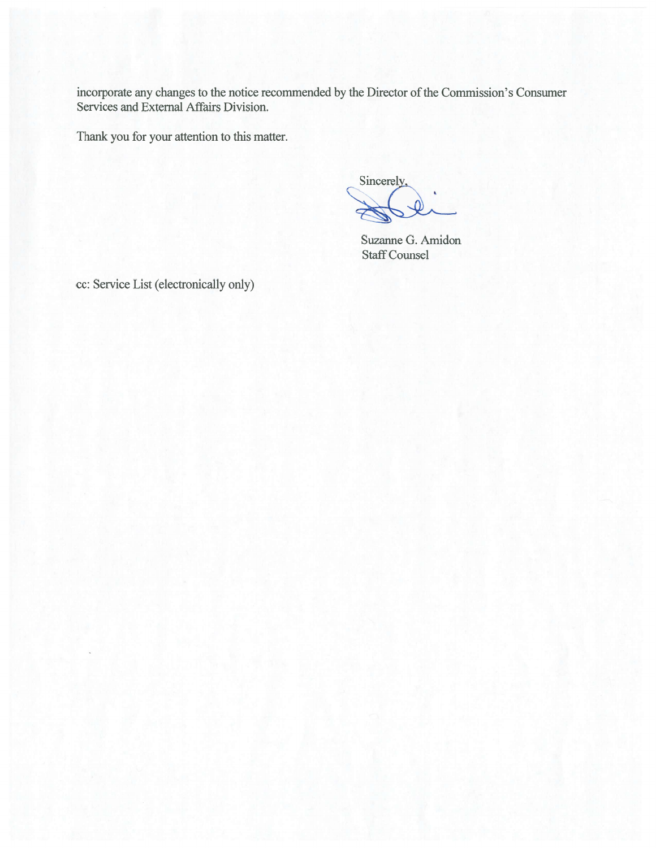incorporate any changes to the notice recommended by the Director of the Commission's Consumer Services and External Affairs Division.

Thank you for your attention to this matter.

Sincerely,

Suzanne G. Amidon **Staff Counsel** 

cc: Service List (electronically only)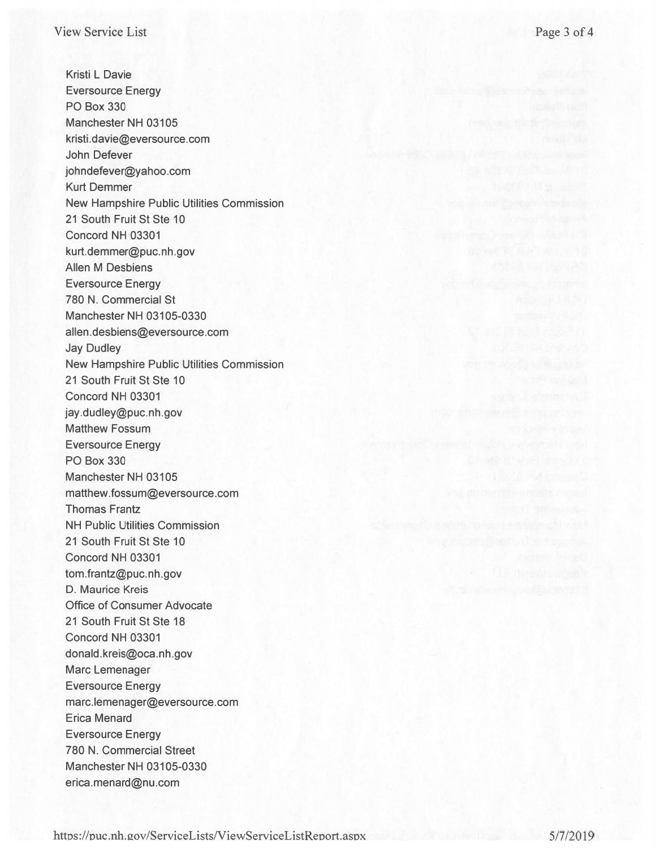Kristi L Davie Eversource Energy PC Box 330 Manchester NH 03105 kristi.davie@eversource.com John Defever johndefever@yahoo.com Kurt Demmer New Hampshire Public Utilities Commission 21 South Fruit St Ste 10 Concord NH 03301 kurt.demmer@puc.nh.gov Allen M Desbiens Eversource Energy 780 N. Commercial St Manchester NH 03105-0330 allen.desbiens@eversource.com Jay Dudley New Hampshire Public Utilities Commission 21 South Fruit St Ste 10 Concord NH 03301 jay.dudley@puc.nh.gov **Matthew Fossum** Eversource Energy P0 Box 330 Manchester NH 03105 matthew.fossum@eversource.com **Thomas Frantz NH Public Utilities Commission** 21 South Fruit St Ste 10 Concord NH 03301 tom.frantz@puc.nh.gov D. Maurice Kreis Office of Consurner Advocate 21 South Fruit St Ste 18 Concord NH 03301 donald.kreis@oca.nh.gov Marc Lemenager Eversource Energy marc.lemenager@eversource.com Erica Menard Eversource Energy 780 N. Commercial Street Manchester NH 03105-0330 erica.menard@nu.com